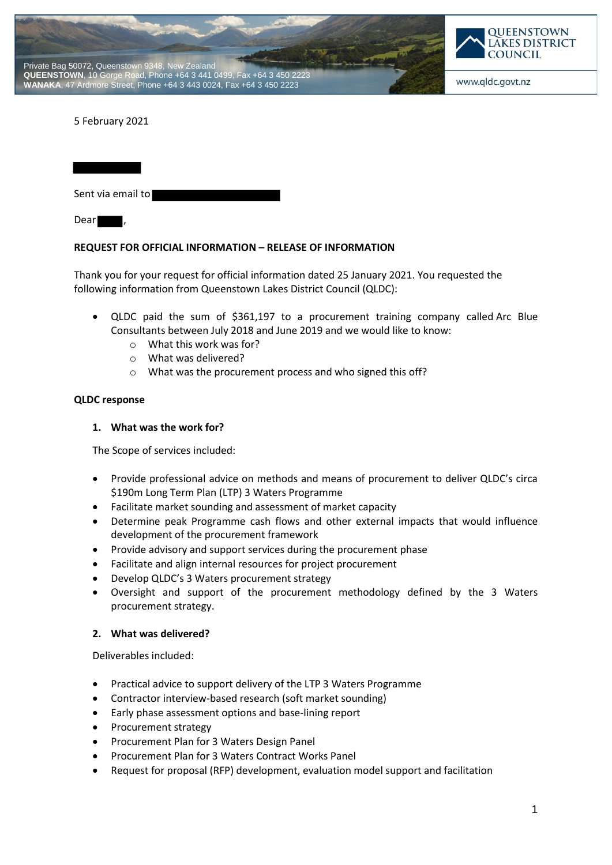



5 February 2021

Sent via email to Dear

### **REQUEST FOR OFFICIAL INFORMATION – RELEASE OF INFORMATION**

Thank you for your request for official information dated 25 January 2021. You requested the following information from Queenstown Lakes District Council (QLDC):

- QLDC paid the sum of \$361,197 to a procurement training company called Arc Blue Consultants between July 2018 and June 2019 and we would like to know:
	- o What this work was for?
	- o What was delivered?
	- o What was the procurement process and who signed this off?

#### **QLDC response**

#### **1. What was the work for?**

The Scope of services included:

- Provide professional advice on methods and means of procurement to deliver QLDC's circa \$190m Long Term Plan (LTP) 3 Waters Programme
- Facilitate market sounding and assessment of market capacity
- Determine peak Programme cash flows and other external impacts that would influence development of the procurement framework
- Provide advisory and support services during the procurement phase
- Facilitate and align internal resources for project procurement
- Develop QLDC's 3 Waters procurement strategy
- Oversight and support of the procurement methodology defined by the 3 Waters procurement strategy.

#### **2. What was delivered?**

Deliverables included:

- Practical advice to support delivery of the LTP 3 Waters Programme
- Contractor interview-based research (soft market sounding)
- Early phase assessment options and base-lining report
- Procurement strategy
- Procurement Plan for 3 Waters Design Panel
- Procurement Plan for 3 Waters Contract Works Panel
- Request for proposal (RFP) development, evaluation model support and facilitation